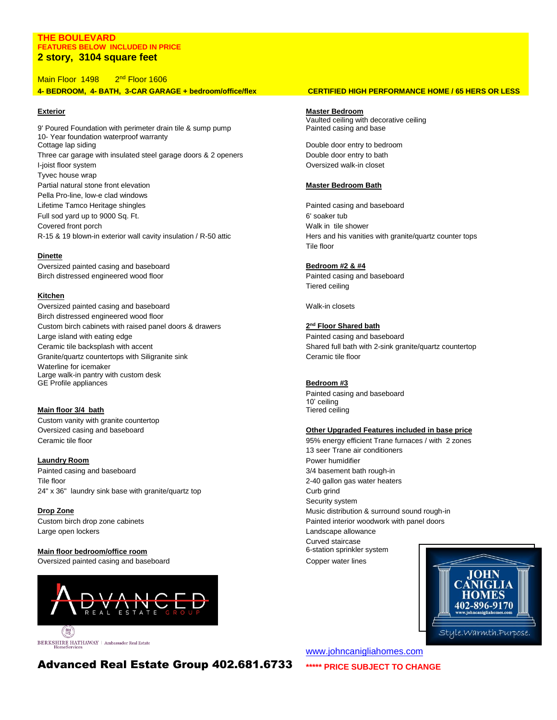## **THE BOULEVARD FEATURES BELOW INCLUDED IN PRICE 2 story, 3104 square feet**

Main Floor 1498 2<sup>nd</sup> Floor 1606

**4- BEDROOM, 4- BATH, 3-CAR GARAGE + bedroom/office/flex CERTIFIED HIGH PERFORMANCE HOME / 65 HERS OR LESS**

9' Poured Foundation with perimeter drain tile & sump pump 10- Year foundation waterproof warranty Cottage lap siding **Cottage lap siding**  $\blacksquare$  Double door entry to bedroom  $\blacksquare$ Three car garage with insulated steel garage doors & 2 openers Double door entry to bath I-joist floor system Oversized walk-in closet Tyvec house wrap Partial natural stone front elevation **Master Bedroom Bath** Pella Pro-line, low-e clad windows Lifetime Tamco Heritage shingles Painted casing and baseboard Full sod yard up to 9000 Sq. Ft. 6' soaker tub Covered front porch **Walk in tile shower** Walk in tile shower

# **Dinette**

Oversized painted casing and baseboard **Bedroom #2 & #4 Bedroom #2 & #4** Birch distressed engineered wood floor **Painted casing and baseboard** Painted casing and baseboard

## **Kitchen**

Oversized painted casing and baseboard Walk-in closets Birch distressed engineered wood floor Custom birch cabinets with raised panel doors & drawers **2** Large island with eating edge Painted casing and baseboard Ceramic tile backsplash with accent Shared full bath with 2-sink granite/quartz countertop Granite/quartz countertops with Siligranite sink Ceramic tile floor Waterline for icemaker Large walk-in pantry with custom desk GE Profile appliances **Bedroom #3** 

# **Main floor 3/4 bath** Custom vanity with granite countertop

**Laundry Room Power humidifier Power humidifier** Painted casing and baseboard **3/4 basement bath rough-in** Tile floor **2-40 gallon gas water heaters** 2-40 gallon gas water heaters 24" x 36" laundry sink base with granite/quartz top Curb grind Curb grind

Large open lockers Landscape allowance

# **Main floor bedroom/office room** 6-station sprinkler system

Oversized painted casing and baseboard Copper water lines



**BERKSHIRE HATHAWAY** | Ambassador Real Estate

**Exterior Master Bedroom**  Vaulted ceiling with decorative ceiling Painted casing and base

R-15 & 19 blown-in exterior wall cavity insulation / R-50 attic Hers and his vanities with granite/quartz counter tops Tile floor

Tiered ceiling

# **nd Floor Shared bath**

Painted casing and baseboard 10' ceiling Tiered ceiling

# Oversized casing and baseboard **Other Upgraded Features included in base price**

Ceramic tile floor 95% energy efficient Trane furnaces / with 2 zones 13 seer Trane air conditioners Security system **Drop Zone Drop Zone** Music distribution & surround sound rough-in Custom birch drop zone cabinets Painted interior woodwork with panel doors Curved staircase



Advanced Real Estate Group 402.681.6733 **\*\*\*\*\* PRICE SUBJECT TO CHANGE**

[www.johncanigliahomes.com](http://www.johncanigliahomes.com/)